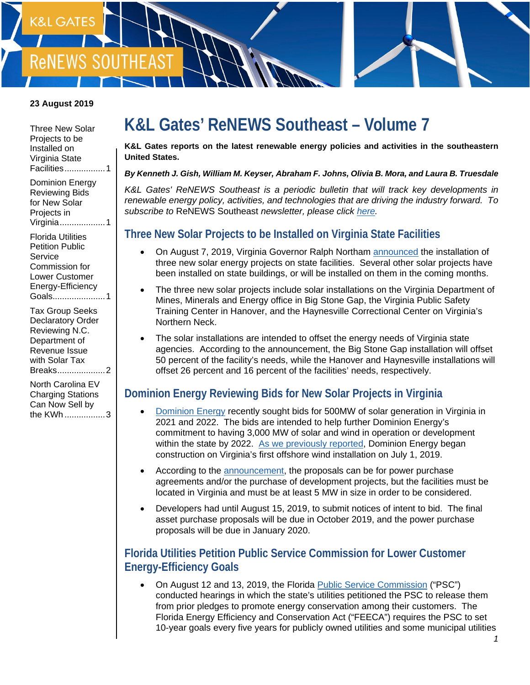

#### **23 August 2019**

[Three New](#page-0-0) Solar [Projects](#page-0-0) to be [Installed on](#page-0-0)  [Virginia](#page-0-0) State [Facilities................. 1](#page-0-0)

[Dominion Energy](#page-0-1)  [Reviewing Bids](#page-0-1)  [for New Solar](#page-0-1)  [Projects in](#page-0-1)  [Virginia................... 1](#page-0-1)

[Florida Utilities](#page-0-2)  [Petition Public](#page-0-2)  **Service** [Commission for](#page-0-2)  [Lower Customer](#page-0-2)  [Energy-Efficiency](#page-0-2)  [Goals...................... 1](#page-0-2)

[Tax Group Seeks](#page-1-0)  [Declaratory Order](#page-1-0)  [Reviewing N.C.](#page-1-0)  [Department of](#page-1-0)  [Revenue Issue](#page-1-0)  [with Solar Tax](#page-1-0)  [Breaks.................... 2](#page-1-0)

[North Carolina EV](#page-2-0)  [Charging Stations](#page-2-0)  [Can Now Sell by](#page-2-0)  the KWh [................. 3](#page-2-0)

# **K&L Gates' ReNEWS Southeast – Volume 7**

**K&L Gates reports on the latest renewable energy policies and activities in the southeastern United States.**

#### *By Kenneth J. Gish, William M. Keyser, Abraham F. Johns, Olivia B. Mora, and Laura B. Truesdale*

K&L Gates' ReNEWS Southeast is a periodic bulletin that will track key developments in *renewable energy policy, activities, and technologies that are driving the industry forward. To subscribe to* ReNEWS Southeast *newsletter, please click [here.](mailto:elizabeth.jeffries@klgates.com?subject=Subscribe:%20ReNEWS%20Southeast)* 

#### <span id="page-0-0"></span>**Three New Solar Projects to be Installed on Virginia State Facilities**

- On August 7, 2019, Virginia Governor Ralph Northam [announced](https://www.governor.virginia.gov/newsroom/all-releases/2019/august/headline-844050-en.html) the installation of three new solar energy projects on state facilities. Several other solar projects have been installed on state buildings, or will be installed on them in the coming months.
- The three new solar projects include solar installations on the Virginia Department of Mines, Minerals and Energy office in Big Stone Gap, the Virginia Public Safety Training Center in Hanover, and the Haynesville Correctional Center on Virginia's Northern Neck.
- The solar installations are intended to offset the energy needs of Virginia state agencies. According to the announcement, the Big Stone Gap installation will offset 50 percent of the facility's needs, while the Hanover and Haynesville installations will offset 26 percent and 16 percent of the facilities' needs, respectively.

#### <span id="page-0-1"></span>**Dominion Energy Reviewing Bids for New Solar Projects in Virginia**

- [Dominion](https://www.dominionenergy.com/) Energy recently sought bids for 500MW of solar generation in Virginia in 2021 and 2022. The bids are intended to help further Dominion Energy's commitment to having 3,000 MW of solar and wind in operation or development within the state by 2022. [As we previously reported,](http://www.klgates.com/renews-southeast-volume-4-07-11-2019/) Dominion Energy began construction on Virginia's first offshore wind installation on July 1, 2019.
- According to the [announcement,](https://news.dominionenergy.com/2019-08-05-Dominion-Energy-Seeking-Solar-Generation-Proposals) the proposals can be for power purchase agreements and/or the purchase of development projects, but the facilities must be located in Virginia and must be at least 5 MW in size in order to be considered.
- Developers had until August 15, 2019, to submit notices of intent to bid. The final asset purchase proposals will be due in October 2019, and the power purchase proposals will be due in January 2020.

#### <span id="page-0-2"></span>**Florida Utilities Petition Public Service Commission for Lower Customer Energy-Efficiency Goals**

• On August 12 and 13, 2019, the Florida [Public Service Commission](http://www.psc.state.fl.us/) ("PSC") conducted hearings in which the state's utilities petitioned the PSC to release them from prior pledges to promote energy conservation among their customers. The Florida Energy Efficiency and Conservation Act ("FEECA") requires the PSC to set 10-year goals every five years for publicly owned utilities and some municipal utilities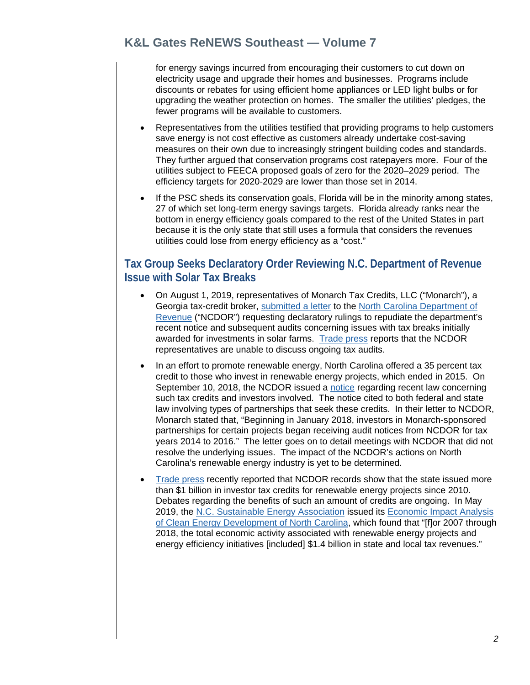### **K&L Gates ReNEWS Southeast — Volume 7**

for energy savings incurred from encouraging their customers to cut down on electricity usage and upgrade their homes and businesses. Programs include discounts or rebates for using efficient home appliances or LED light bulbs or for upgrading the weather protection on homes. The smaller the utilities' pledges, the fewer programs will be available to customers.

- Representatives from the utilities testified that providing programs to help customers save energy is not cost effective as customers already undertake cost-saving measures on their own due to increasingly stringent building codes and standards. They further argued that conservation programs cost ratepayers more. Four of the utilities subject to FEECA proposed goals of zero for the 2020–2029 period. The efficiency targets for 2020-2029 are lower than those set in 2014.
- If the PSC sheds its conservation goals, Florida will be in the minority among states, 27 of which set long-term energy savings targets. Florida already ranks near the bottom in energy efficiency goals compared to the rest of the United States in part because it is the only state that still uses a formula that considers the revenues utilities could lose from energy efficiency as a "cost."

#### <span id="page-1-0"></span>**Tax Group Seeks Declaratory Order Reviewing N.C. Department of Revenue Issue with Solar Tax Breaks**

- On August 1, 2019, representatives of Monarch Tax Credits, LLC ("Monarch"), a Georgia tax-credit broker, [submitted a letter](https://s3.amazonaws.com/carolinajournal.com/app/uploads/2019/08/08125639/Monarch-Tax-Credits-letter-to-NCDOR-8-1-19.pdf) to the [North Carolina Department of](https://www.ncdor.gov/) [Revenue](https://www.ncdor.gov/) ("NCDOR") requesting declaratory rulings to repudiate the department's recent notice and subsequent audits concerning issues with tax breaks initially awarded for investments in solar farms. [Trade press](https://www.newsobserver.com/news/politics-government/article233561247.html) reports that the NCDOR representatives are unable to discuss ongoing tax audits.
- In an effort to promote renewable energy, North Carolina offered a 35 percent tax credit to those who invest in renewable energy projects, which ended in 2015. On September 10, 2018, the NCDOR issued a [notice](https://files.nc.gov/ncdor/documents/files/tax_credits_important_notice_1.pdf) regarding recent law concerning such tax credits and investors involved. The notice cited to both federal and state law involving types of partnerships that seek these credits. In their letter to NCDOR, Monarch stated that, "Beginning in January 2018, investors in Monarch-sponsored partnerships for certain projects began receiving audit notices from NCDOR for tax years 2014 to 2016." The letter goes on to detail meetings with NCDOR that did not resolve the underlying issues. The impact of the NCDOR's actions on North Carolina's renewable energy industry is yet to be determined.
- [Trade press](https://www.carolinajournal.com/news-article/n-c-has-issued-more-than-1-billion-from-renewable-energy-tax-credits/) recently reported that NCDOR records show that the state issued more than \$1 billion in investor tax credits for renewable energy projects since 2010. Debates regarding the benefits of such an amount of credits are ongoing. In May 2019, the [N.C. Sustainable Energy Association](https://energync.org/) issued its [Economic Impact Analysis](https://energync.org/wp-content/uploads/2019/05/NCSEA_Economic_Impact_Analysis_of_Clean_Energy_Development_in_North_Carolina_2019.pdf) [of Clean Energy Development of North Carolina,](https://energync.org/wp-content/uploads/2019/05/NCSEA_Economic_Impact_Analysis_of_Clean_Energy_Development_in_North_Carolina_2019.pdf) which found that "[f]or 2007 through 2018, the total economic activity associated with renewable energy projects and energy efficiency initiatives [included] \$1.4 billion in state and local tax revenues."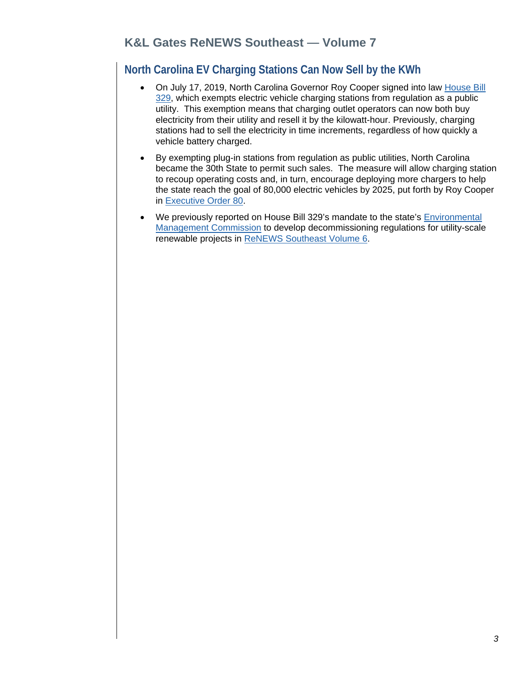## <span id="page-2-0"></span>**North Carolina EV Charging Stations Can Now Sell by the KWh**

- On July 17, 2019, North Carolina Governor Roy Cooper signed into law [House Bill](https://www.ncleg.gov/Sessions/2019/Bills/House/PDF/H329v5.pdf) [329,](https://www.ncleg.gov/Sessions/2019/Bills/House/PDF/H329v5.pdf) which exempts electric vehicle charging stations from regulation as a public utility. This exemption means that charging outlet operators can now both buy electricity from their utility and resell it by the kilowatt-hour. Previously, charging stations had to sell the electricity in time increments, regardless of how quickly a vehicle battery charged.
- By exempting plug-in stations from regulation as public utilities, North Carolina became the 30th State to permit such sales. The measure will allow charging station to recoup operating costs and, in turn, encourage deploying more chargers to help the state reach the goal of 80,000 electric vehicles by 2025, put forth by Roy Cooper in [Executive Order 80.](https://files.nc.gov/governor/documents/files/EO80-%20NC%27s%20Commitment%20to%20Address%20Climate%20Change%20%26%20Transition%20to%20a%20Clean%20Energy%20Economy.pdf)
- We previously reported on House Bill 329's mandate to the state's **Environmental** [Management Commission](https://deq.nc.gov/about/divisions/water-resources/water-resources-commissions/environmental-management-commission) to develop decommissioning regulations for utility-scale renewable projects in [ReNEWS Southeast Volume 6.](http://www.klgates.com/renews-southeast-volume-6-08-08-20191/)